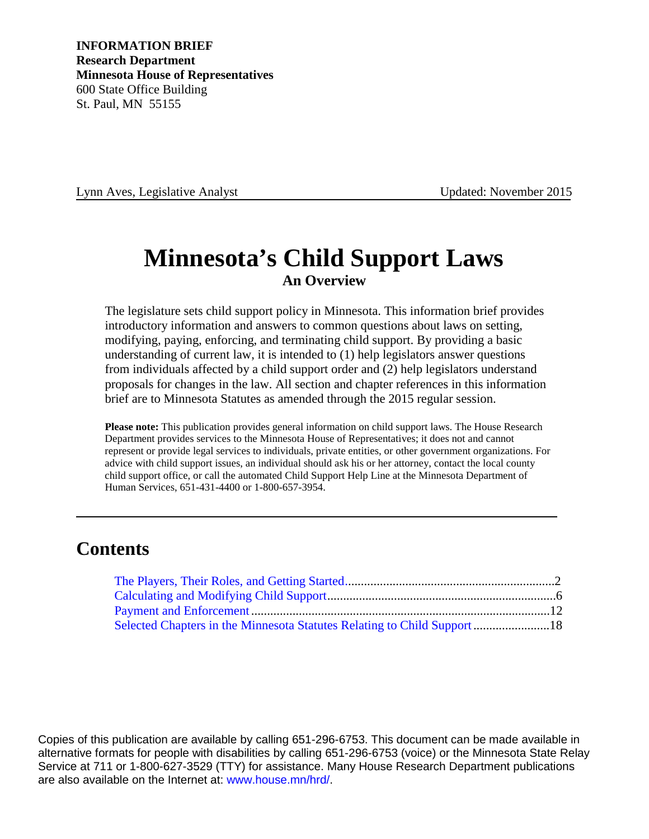**INFORMATION BRIEF Research Department Minnesota House of Representatives** 600 State Office Building St. Paul, MN 55155

Lynn Aves, Legislative Analyst Updated: November 2015

# **Minnesota's Child Support Laws An Overview**

The legislature sets child support policy in Minnesota. This information brief provides introductory information and answers to common questions about laws on setting, modifying, paying, enforcing, and terminating child support. By providing a basic understanding of current law, it is intended to (1) help legislators answer questions from individuals affected by a child support order and (2) help legislators understand proposals for changes in the law. All section and chapter references in this information brief are to Minnesota Statutes as amended through the 2015 regular session.

**Please note:** This publication provides general information on child support laws. The House Research Department provides services to the Minnesota House of Representatives; it does not and cannot represent or provide legal services to individuals, private entities, or other government organizations. For advice with child support issues, an individual should ask his or her attorney, contact the local county child support office, or call the automated Child Support Help Line at the Minnesota Department of Human Services, 651-431-4400 or 1-800-657-3954.

## **Contents**

| Selected Chapters in the Minnesota Statutes Relating to Child Support  18 |  |
|---------------------------------------------------------------------------|--|

Copies of this publication are available by calling 651-296-6753. This document can be made available in alternative formats for people with disabilities by calling 651-296-6753 (voice) or the Minnesota State Relay Service at 711 or 1-800-627-3529 (TTY) for assistance. Many House Research Department publications are also available on the Internet at: [www.house.mn/hrd/.](http://www.house.mn/hrd/)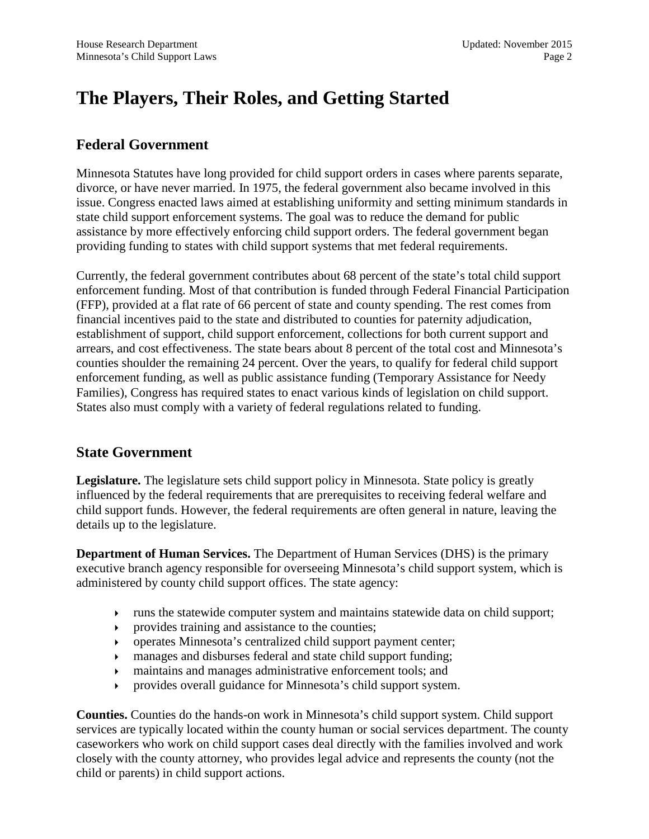# <span id="page-1-0"></span>**The Players, Their Roles, and Getting Started**

## **Federal Government**

Minnesota Statutes have long provided for child support orders in cases where parents separate, divorce, or have never married. In 1975, the federal government also became involved in this issue. Congress enacted laws aimed at establishing uniformity and setting minimum standards in state child support enforcement systems. The goal was to reduce the demand for public assistance by more effectively enforcing child support orders. The federal government began providing funding to states with child support systems that met federal requirements.

Currently, the federal government contributes about 68 percent of the state's total child support enforcement funding. Most of that contribution is funded through Federal Financial Participation (FFP), provided at a flat rate of 66 percent of state and county spending. The rest comes from financial incentives paid to the state and distributed to counties for paternity adjudication, establishment of support, child support enforcement, collections for both current support and arrears, and cost effectiveness. The state bears about 8 percent of the total cost and Minnesota's counties shoulder the remaining 24 percent. Over the years, to qualify for federal child support enforcement funding, as well as public assistance funding (Temporary Assistance for Needy Families), Congress has required states to enact various kinds of legislation on child support. States also must comply with a variety of federal regulations related to funding.

#### **State Government**

**Legislature.** The legislature sets child support policy in Minnesota. State policy is greatly influenced by the federal requirements that are prerequisites to receiving federal welfare and child support funds. However, the federal requirements are often general in nature, leaving the details up to the legislature.

**Department of Human Services.** The Department of Human Services (DHS) is the primary executive branch agency responsible for overseeing Minnesota's child support system, which is administered by county child support offices. The state agency:

- runs the statewide computer system and maintains statewide data on child support;
- provides training and assistance to the counties;
- operates Minnesota's centralized child support payment center;
- manages and disburses federal and state child support funding;
- maintains and manages administrative enforcement tools; and
- provides overall guidance for Minnesota's child support system.

**Counties.** Counties do the hands-on work in Minnesota's child support system. Child support services are typically located within the county human or social services department. The county caseworkers who work on child support cases deal directly with the families involved and work closely with the county attorney, who provides legal advice and represents the county (not the child or parents) in child support actions.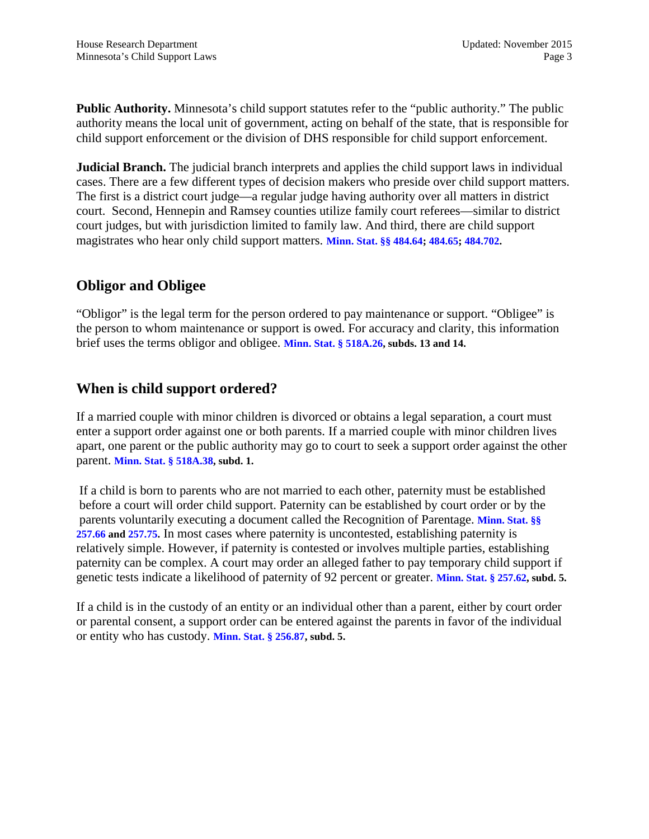**Public Authority.** Minnesota's child support statutes refer to the "public authority." The public authority means the local unit of government, acting on behalf of the state, that is responsible for child support enforcement or the division of DHS responsible for child support enforcement.

**Judicial Branch.** The judicial branch interprets and applies the child support laws in individual cases. There are a few different types of decision makers who preside over child support matters. The first is a district court judge—a regular judge having authority over all matters in district court. Second, Hennepin and Ramsey counties utilize family court referees—similar to district court judges, but with jurisdiction limited to family law. And third, there are child support magistrates who hear only child support matters. **[Minn. Stat.](https://www.revisor.mn.gov/statutes/?id=484.64) §§ 484.64; [484.65;](https://www.revisor.mn.gov/statutes/?id=484.65) [484.702.](https://www.revisor.mn.gov/statutes/?id=484.702)** 

### **Obligor and Obligee**

"Obligor" is the legal term for the person ordered to pay maintenance or support. "Obligee" is the person to whom maintenance or support is owed. For accuracy and clarity, this information brief uses the terms obligor and obligee. **[Minn. Stat. § 518A.26,](https://www.revisor.mn.gov/statutes/?id=518A.26) subds. 13 and 14.**

#### **When is child support ordered?**

If a married couple with minor children is divorced or obtains a legal separation, a court must enter a support order against one or both parents. If a married couple with minor children lives apart, one parent or the public authority may go to court to seek a support order against the other parent. **[Minn. Stat. §](https://www.revisor.mn.gov/statutes/?id=518A.38) 518A.38, subd. 1.**

If a child is born to parents who are not married to each other, paternity must be established before a court will order child support. Paternity can be established by court order or by the parents voluntarily executing a document called the Recognition of Parentage. **[Minn. Stat. §§](https://www.revisor.mn.gov/statutes/?id=257.66) [257.66](https://www.revisor.mn.gov/statutes/?id=257.66) and [257.75.](https://www.revisor.mn.gov/statutes/?id=257.75)** In most cases where paternity is uncontested, establishing paternity is relatively simple. However, if paternity is contested or involves multiple parties, establishing paternity can be complex. A court may order an alleged father to pay temporary child support if genetic tests indicate a likelihood of paternity of 92 percent or greater. **[Minn. Stat. § 257.62,](https://www.revisor.mn.gov/statutes/?id=257.62) subd. 5.**

If a child is in the custody of an entity or an individual other than a parent, either by court order or parental consent, a support order can be entered against the parents in favor of the individual or entity who has custody. **[Minn. Stat. § 256.87,](https://www.revisor.mn.gov/statutes/?id=256.87) subd. 5.**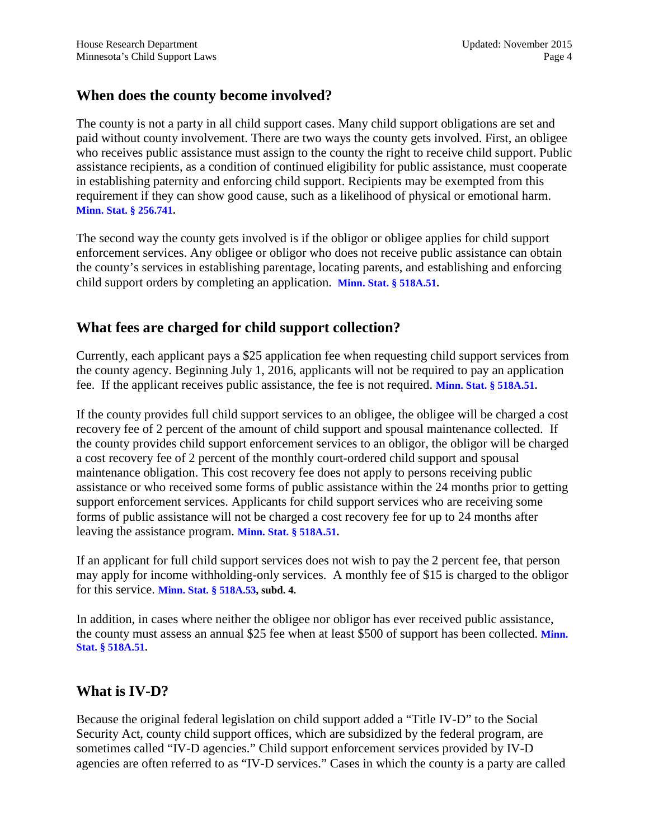#### **When does the county become involved?**

The county is not a party in all child support cases. Many child support obligations are set and paid without county involvement. There are two ways the county gets involved. First, an obligee who receives public assistance must assign to the county the right to receive child support. Public assistance recipients, as a condition of continued eligibility for public assistance, must cooperate in establishing paternity and enforcing child support. Recipients may be exempted from this requirement if they can show good cause, such as a likelihood of physical or emotional harm. **[Minn. Stat.](https://www.revisor.mn.gov/statutes/?id=256.741) § 256.741.**

The second way the county gets involved is if the obligor or obligee applies for child support enforcement services. Any obligee or obligor who does not receive public assistance can obtain the county's services in establishing parentage, locating parents, and establishing and enforcing child support orders by completing an application. **[Minn. Stat. §](https://www.revisor.mn.gov/statutes/?id=518A.51) 518A.51.** 

#### **What fees are charged for child support collection?**

Currently, each applicant pays a \$25 application fee when requesting child support services from the county agency. Beginning July 1, 2016, applicants will not be required to pay an application fee. If the applicant receives public assistance, the fee is not required. **[Minn. Stat. §](https://www.revisor.mn.gov/statutes/?id=518A.51) 518A.51.** 

If the county provides full child support services to an obligee, the obligee will be charged a cost recovery fee of 2 percent of the amount of child support and spousal maintenance collected. If the county provides child support enforcement services to an obligor, the obligor will be charged a cost recovery fee of 2 percent of the monthly court-ordered child support and spousal maintenance obligation. This cost recovery fee does not apply to persons receiving public assistance or who received some forms of public assistance within the 24 months prior to getting support enforcement services. Applicants for child support services who are receiving some forms of public assistance will not be charged a cost recovery fee for up to 24 months after leaving the assistance program. **[Minn. Stat. § 518A.51](https://www.revisor.mn.gov/statutes/?id=518A.51).**

If an applicant for full child support services does not wish to pay the 2 percent fee, that person may apply for income withholding-only services. A monthly fee of \$15 is charged to the obligor for this service. **[Minn. Stat. § 518A.53,](https://www.revisor.mn.gov/statutes/?id=518A.53) subd. 4.**

In addition, in cases where neither the obligee nor obligor has ever received public assistance, the county must assess an annual \$25 fee when at least \$500 of support has been collected. **[Minn.](https://www.revisor.mn.gov/statutes/?id=518A.51)  Stat. § [518A.51](https://www.revisor.mn.gov/statutes/?id=518A.51).** 

#### **What is IV-D?**

Because the original federal legislation on child support added a "Title IV-D" to the Social Security Act, county child support offices, which are subsidized by the federal program, are sometimes called "IV-D agencies." Child support enforcement services provided by IV-D agencies are often referred to as "IV-D services." Cases in which the county is a party are called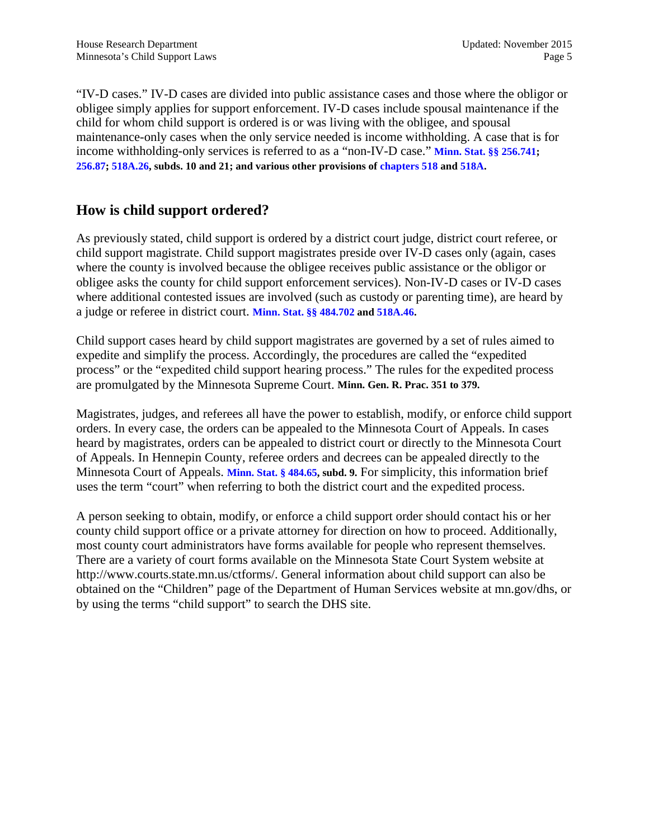"IV-D cases." IV-D cases are divided into public assistance cases and those where the obligor or obligee simply applies for support enforcement. IV-D cases include spousal maintenance if the child for whom child support is ordered is or was living with the obligee, and spousal maintenance-only cases when the only service needed is income withholding. A case that is for income withholding-only services is referred to as a "non-IV-D case." **[Minn. Stat. §§ 256.741;](https://www.revisor.mn.gov/statutes/?id=256.741) [256.87;](https://www.revisor.mn.gov/statutes/?id=256.87) [518A.26,](https://www.revisor.mn.gov/statutes/?id=518A.26) subds. 10 and 21; and various other provisions of [chapters](https://www.revisor.mn.gov/statutes/?id=518) 518 and [518A.](https://www.revisor.mn.gov/statutes/?id=518A)**

### **How is child support ordered?**

As previously stated, child support is ordered by a district court judge, district court referee, or child support magistrate. Child support magistrates preside over IV-D cases only (again, cases where the county is involved because the obligee receives public assistance or the obligor or obligee asks the county for child support enforcement services). Non-IV-D cases or IV-D cases where additional contested issues are involved (such as custody or parenting time), are heard by a judge or referee in district court. **[Minn. Stat.](https://www.revisor.mn.gov/statutes/?id=484.702) §§ 484.702 and [518A.46.](https://www.revisor.mn.gov/statutes/?id=518A.46)**

Child support cases heard by child support magistrates are governed by a set of rules aimed to expedite and simplify the process. Accordingly, the procedures are called the "expedited process" or the "expedited child support hearing process." The rules for the expedited process are promulgated by the Minnesota Supreme Court. **Minn. Gen. R. Prac. 351 to 379.**

Magistrates, judges, and referees all have the power to establish, modify, or enforce child support orders. In every case, the orders can be appealed to the Minnesota Court of Appeals. In cases heard by magistrates, orders can be appealed to district court or directly to the Minnesota Court of Appeals. In Hennepin County, referee orders and decrees can be appealed directly to the Minnesota Court of Appeals. **[Minn. Stat. § 484.65,](https://www.revisor.mn.gov/statutes/?id=484.65) subd. 9.** For simplicity, this information brief uses the term "court" when referring to both the district court and the expedited process.

A person seeking to obtain, modify, or enforce a child support order should contact his or her county child support office or a private attorney for direction on how to proceed. Additionally, most county court administrators have forms available for people who represent themselves. There are a variety of court forms available on the Minnesota State Court System website at http://www.courts.state.mn.us/ctforms/. General information about child support can also be obtained on the "Children" page of the Department of Human Services website at mn.gov/dhs, or by using the terms "child support" to search the DHS site.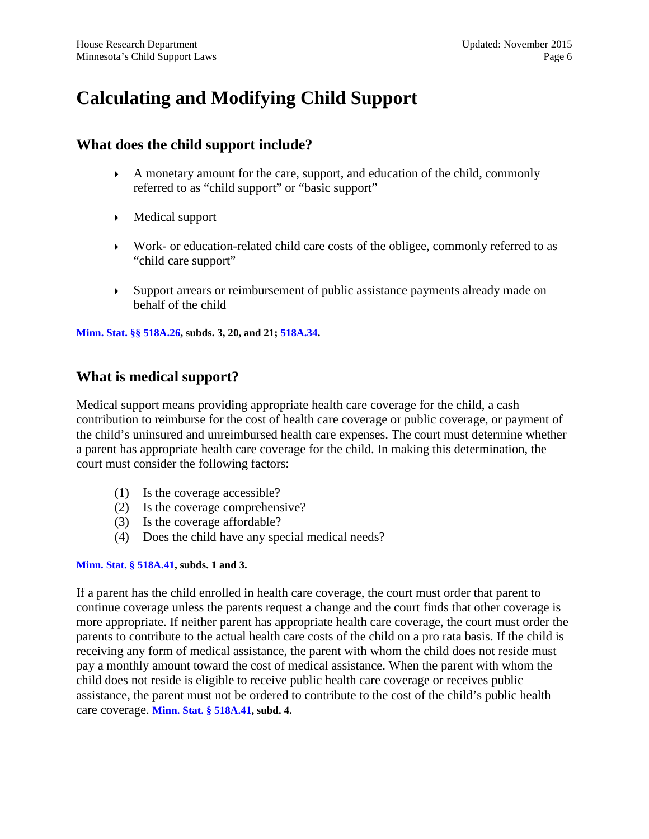# <span id="page-5-0"></span>**Calculating and Modifying Child Support**

### **What does the child support include?**

- A monetary amount for the care, support, and education of the child, commonly referred to as "child support" or "basic support"
- Medical support
- Work- or education-related child care costs of the obligee, commonly referred to as "child care support"
- Support arrears or reimbursement of public assistance payments already made on behalf of the child

**[Minn. Stat.](https://www.revisor.mn.gov/statutes/?id=518A.26) §§ 518A.26, subds. 3, 20, and 21; [518A.34.](https://www.revisor.mn.gov/statutes/?id=518A.34)** 

### **What is medical support?**

Medical support means providing appropriate health care coverage for the child, a cash contribution to reimburse for the cost of health care coverage or public coverage, or payment of the child's uninsured and unreimbursed health care expenses. The court must determine whether a parent has appropriate health care coverage for the child. In making this determination, the court must consider the following factors:

- (1) Is the coverage accessible?
- (2) Is the coverage comprehensive?
- (3) Is the coverage affordable?
- (4) Does the child have any special medical needs?

#### **[Minn. Stat.](https://www.revisor.mn.gov/statutes/?id=518A.41) § 518A.41, subds. 1 and 3.**

If a parent has the child enrolled in health care coverage, the court must order that parent to continue coverage unless the parents request a change and the court finds that other coverage is more appropriate. If neither parent has appropriate health care coverage, the court must order the parents to contribute to the actual health care costs of the child on a pro rata basis. If the child is receiving any form of medical assistance, the parent with whom the child does not reside must pay a monthly amount toward the cost of medical assistance. When the parent with whom the child does not reside is eligible to receive public health care coverage or receives public assistance, the parent must not be ordered to contribute to the cost of the child's public health care coverage. **[Minn. Stat. § 518A.41](https://www.revisor.mn.gov/statutes/?id=518A.41), subd. 4.**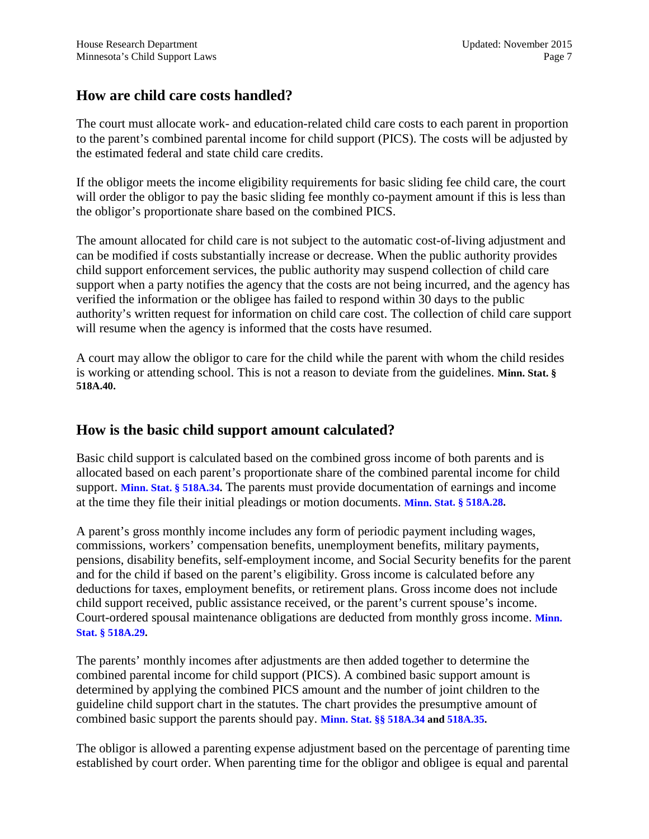#### **How are child care costs handled?**

The court must allocate work- and education-related child care costs to each parent in proportion to the parent's combined parental income for child support (PICS). The costs will be adjusted by the estimated federal and state child care credits.

If the obligor meets the income eligibility requirements for basic sliding fee child care, the court will order the obligor to pay the basic sliding fee monthly co-payment amount if this is less than the obligor's proportionate share based on the combined PICS.

The amount allocated for child care is not subject to the automatic cost-of-living adjustment and can be modified if costs substantially increase or decrease. When the public authority provides child support enforcement services, the public authority may suspend collection of child care support when a party notifies the agency that the costs are not being incurred, and the agency has verified the information or the obligee has failed to respond within 30 days to the public authority's written request for information on child care cost. The collection of child care support will resume when the agency is informed that the costs have resumed.

A court may allow the obligor to care for the child while the parent with whom the child resides is working or attending school. This is not a reason to deviate from the guidelines. **Minn. Stat. § 518A.40.**

#### **How is the basic child support amount calculated?**

Basic child support is calculated based on the combined gross income of both parents and is allocated based on each parent's proportionate share of the combined parental income for child support. **[Minn. Stat.](https://www.revisor.mn.gov/statutes/?id=518A.34) § 518A.34.** The parents must provide documentation of earnings and income at the time they file their initial pleadings or motion documents. **[Minn. Stat.](https://www.revisor.mn.gov/statutes/?id=518A.28) § 518A.28.**

A parent's gross monthly income includes any form of periodic payment including wages, commissions, workers' compensation benefits, unemployment benefits, military payments, pensions, disability benefits, self-employment income, and Social Security benefits for the parent and for the child if based on the parent's eligibility. Gross income is calculated before any deductions for taxes, employment benefits, or retirement plans. Gross income does not include child support received, public assistance received, or the parent's current spouse's income. Court-ordered spousal maintenance obligations are deducted from monthly gross income. **[Minn.](https://www.revisor.mn.gov/statutes/?id=518A.29)  Stat. [§ 518A.29.](https://www.revisor.mn.gov/statutes/?id=518A.29)**

The parents' monthly incomes after adjustments are then added together to determine the combined parental income for child support (PICS). A combined basic support amount is determined by applying the combined PICS amount and the number of joint children to the guideline child support chart in the statutes. The chart provides the presumptive amount of combined basic support the parents should pay. **[Minn. Stat. §§ 518A.34](https://www.revisor.mn.gov/statutes/?id=518A.34) and [518A.35.](https://www.revisor.mn.gov/statutes/?id=518A.35)**

The obligor is allowed a parenting expense adjustment based on the percentage of parenting time established by court order. When parenting time for the obligor and obligee is equal and parental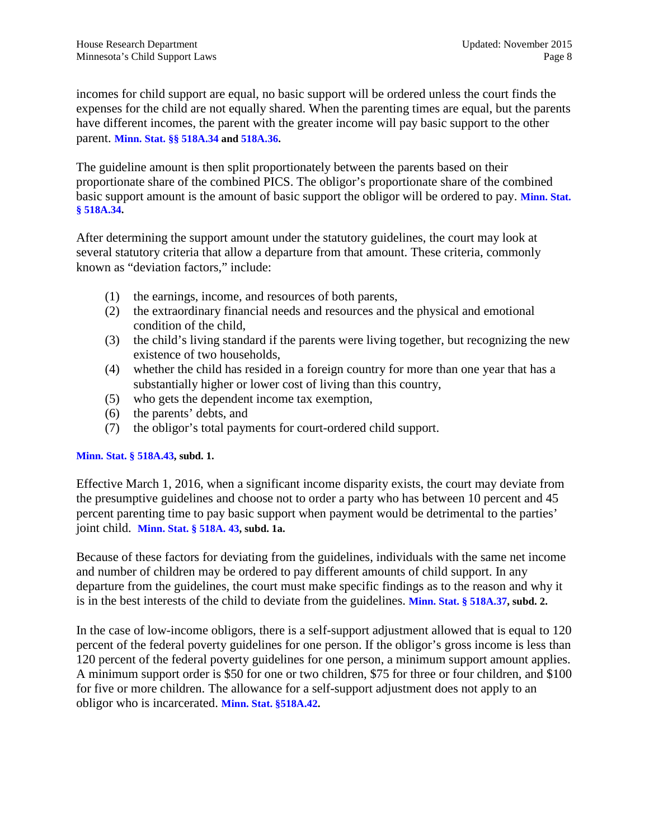incomes for child support are equal, no basic support will be ordered unless the court finds the expenses for the child are not equally shared. When the parenting times are equal, but the parents have different incomes, the parent with the greater income will pay basic support to the other parent. **[Minn. Stat. §§ 518A.34](https://www.revisor.mn.gov/statutes/?id=518A.34) and [518A.36.](https://www.revisor.mn.gov/statutes/?id=518A.36)**

The guideline amount is then split proportionately between the parents based on their proportionate share of the combined PICS. The obligor's proportionate share of the combined basic support amount is the amount of basic support the obligor will be ordered to pay. **[Minn. Stat.](https://www.revisor.mn.gov/statutes/?id=518A.34) [§ 518A.34](https://www.revisor.mn.gov/statutes/?id=518A.34).**

After determining the support amount under the statutory guidelines, the court may look at several statutory criteria that allow a departure from that amount. These criteria, commonly known as "deviation factors," include:

- (1) the earnings, income, and resources of both parents,
- (2) the extraordinary financial needs and resources and the physical and emotional condition of the child,
- (3) the child's living standard if the parents were living together, but recognizing the new existence of two households,
- (4) whether the child has resided in a foreign country for more than one year that has a substantially higher or lower cost of living than this country,
- (5) who gets the dependent income tax exemption,
- (6) the parents' debts, and
- (7) the obligor's total payments for court-ordered child support.

#### **[Minn. Stat. § 518A.43,](https://www.revisor.mn.gov/statutes/?id=518A.43) subd. 1.**

Effective March 1, 2016, when a significant income disparity exists, the court may deviate from the presumptive guidelines and choose not to order a party who has between 10 percent and 45 percent parenting time to pay basic support when payment would be detrimental to the parties' joint child. **[Minn. Stat.](https://www.revisor.mn.gov/statutes/?id=518A.43) § 518A. 43, subd. 1a.**

Because of these factors for deviating from the guidelines, individuals with the same net income and number of children may be ordered to pay different amounts of child support. In any departure from the guidelines, the court must make specific findings as to the reason and why it is in the best interests of the child to deviate from the guidelines. **Minn. Stat. § [518A.37,](https://www.revisor.mn.gov/statutes/?id=518A.37) subd. 2.**

In the case of low-income obligors, there is a self-support adjustment allowed that is equal to 120 percent of the federal poverty guidelines for one person. If the obligor's gross income is less than 120 percent of the federal poverty guidelines for one person, a minimum support amount applies. A minimum support order is \$50 for one or two children, \$75 for three or four children, and \$100 for five or more children. The allowance for a self-support adjustment does not apply to an obligor who is incarcerated. **[Minn. Stat. §518A.42.](https://www.revisor.mn.gov/statutes/?id=518A.42)**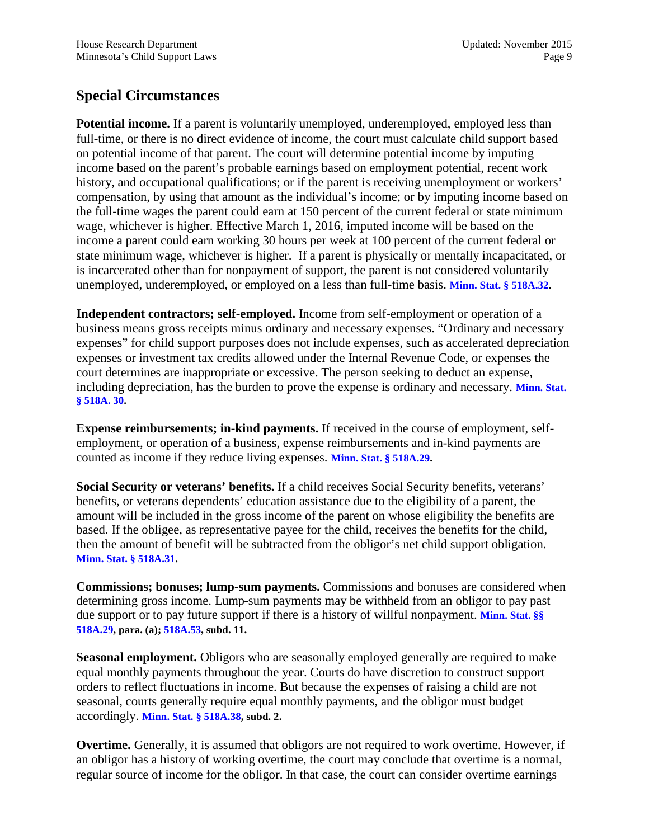### **Special Circumstances**

**Potential income.** If a parent is voluntarily unemployed, underemployed, employed less than full-time, or there is no direct evidence of income, the court must calculate child support based on potential income of that parent. The court will determine potential income by imputing income based on the parent's probable earnings based on employment potential, recent work history, and occupational qualifications; or if the parent is receiving unemployment or workers' compensation, by using that amount as the individual's income; or by imputing income based on the full-time wages the parent could earn at 150 percent of the current federal or state minimum wage, whichever is higher. Effective March 1, 2016, imputed income will be based on the income a parent could earn working 30 hours per week at 100 percent of the current federal or state minimum wage, whichever is higher. If a parent is physically or mentally incapacitated, or is incarcerated other than for nonpayment of support, the parent is not considered voluntarily unemployed, underemployed, or employed on a less than full-time basis. **[Minn. Stat. § 518A.32.](https://www.revisor.mn.gov/statutes/?id=518A.32)**

**Independent contractors; self-employed.** Income from self-employment or operation of a business means gross receipts minus ordinary and necessary expenses. "Ordinary and necessary expenses" for child support purposes does not include expenses, such as accelerated depreciation expenses or investment tax credits allowed under the Internal Revenue Code, or expenses the court determines are inappropriate or excessive. The person seeking to deduct an expense, including depreciation, has the burden to prove the expense is ordinary and necessary. **[Minn. Stat.](https://www.revisor.mn.gov/statutes/?id=518A.30) [§ 518A. 30.](https://www.revisor.mn.gov/statutes/?id=518A.30)**

**Expense reimbursements; in-kind payments.** If received in the course of employment, selfemployment, or operation of a business, expense reimbursements and in-kind payments are counted as income if they reduce living expenses. **[Minn. Stat.](https://www.revisor.mn.gov/statutes/?id=518A.29) § 518A.29.**

**Social Security or veterans' benefits.** If a child receives Social Security benefits, veterans' benefits, or veterans dependents' education assistance due to the eligibility of a parent, the amount will be included in the gross income of the parent on whose eligibility the benefits are based. If the obligee, as representative payee for the child, receives the benefits for the child, then the amount of benefit will be subtracted from the obligor's net child support obligation. **[Minn. Stat.](https://www.revisor.mn.gov/statutes/?id=518A.31) § 518A.31.**

**Commissions; bonuses; lump-sum payments.** Commissions and bonuses are considered when determining gross income. Lump-sum payments may be withheld from an obligor to pay past due support or to pay future support if there is a history of willful nonpayment. **[Minn. Stat. §§](https://www.revisor.mn.gov/statutes/?id=518A.29)  [518A.29,](https://www.revisor.mn.gov/statutes/?id=518A.29) para. (a); [518A.53,](https://www.revisor.mn.gov/statutes/?id=518A.53) subd. 11.**

**Seasonal employment.** Obligors who are seasonally employed generally are required to make equal monthly payments throughout the year. Courts do have discretion to construct support orders to reflect fluctuations in income. But because the expenses of raising a child are not seasonal, courts generally require equal monthly payments, and the obligor must budget accordingly. **[Minn. Stat. §](https://www.revisor.mn.gov/statutes/?id=518A.38) 518A.38, subd. 2.**

**Overtime.** Generally, it is assumed that obligors are not required to work overtime. However, if an obligor has a history of working overtime, the court may conclude that overtime is a normal, regular source of income for the obligor. In that case, the court can consider overtime earnings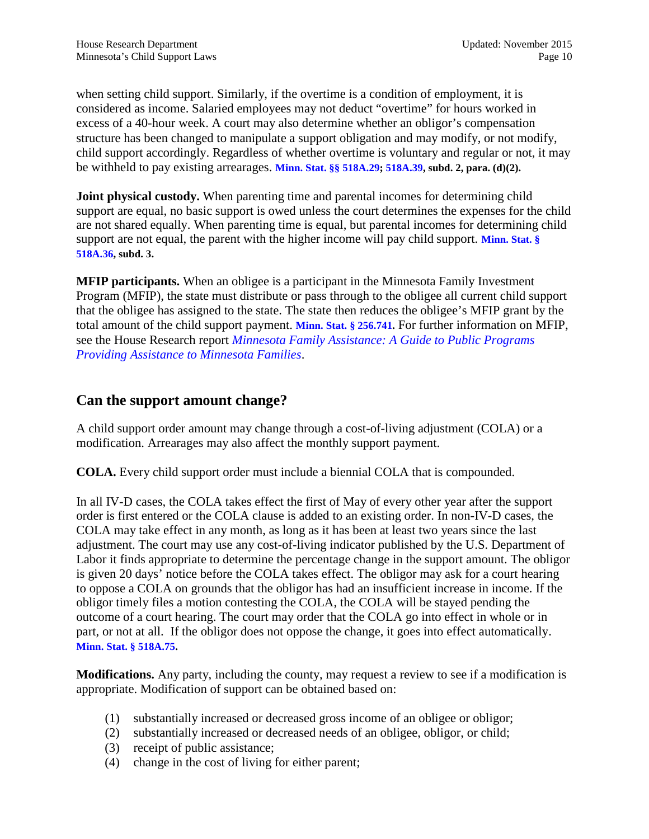when setting child support. Similarly, if the overtime is a condition of employment, it is considered as income. Salaried employees may not deduct "overtime" for hours worked in excess of a 40-hour week. A court may also determine whether an obligor's compensation structure has been changed to manipulate a support obligation and may modify, or not modify, child support accordingly. Regardless of whether overtime is voluntary and regular or not, it may be withheld to pay existing arrearages. **[Minn. Stat.](https://www.revisor.mn.gov/statutes/?id=518A.29) §§ 518A.29; [518A.39,](https://www.revisor.mn.gov/statutes/?id=518A.39) subd. 2, para. (d)(2).**

**Joint physical custody.** When parenting time and parental incomes for determining child support are equal, no basic support is owed unless the court determines the expenses for the child are not shared equally. When parenting time is equal, but parental incomes for determining child support are not equal, the parent with the higher income will pay child support. **[Minn. Stat. §](https://www.revisor.mn.gov/statutes/?id=518A.36) [518A.36,](https://www.revisor.mn.gov/statutes/?id=518A.36) subd. 3.**

**MFIP participants.** When an obligee is a participant in the Minnesota Family Investment Program (MFIP), the state must distribute or pass through to the obligee all current child support that the obligee has assigned to the state. The state then reduces the obligee's MFIP grant by the total amount of the child support payment. **[Minn. Stat. § 256.741](https://www.revisor.mn.gov/statutes/?id=256.741).** For further information on MFIP, see the House Research report *[Minnesota Family Assistance: A Guide to Public Programs](http://www.house.leg.state.mn.us/hrd/pubs/famasst.pdf)  [Providing Assistance to Minnesota Families](http://www.house.leg.state.mn.us/hrd/pubs/famasst.pdf)*.

#### **Can the support amount change?**

A child support order amount may change through a cost-of-living adjustment (COLA) or a modification. Arrearages may also affect the monthly support payment.

**COLA.** Every child support order must include a biennial COLA that is compounded.

In all IV-D cases, the COLA takes effect the first of May of every other year after the support order is first entered or the COLA clause is added to an existing order. In non-IV-D cases, the COLA may take effect in any month, as long as it has been at least two years since the last adjustment. The court may use any cost-of-living indicator published by the U.S. Department of Labor it finds appropriate to determine the percentage change in the support amount. The obligor is given 20 days' notice before the COLA takes effect. The obligor may ask for a court hearing to oppose a COLA on grounds that the obligor has had an insufficient increase in income. If the obligor timely files a motion contesting the COLA, the COLA will be stayed pending the outcome of a court hearing. The court may order that the COLA go into effect in whole or in part, or not at all. If the obligor does not oppose the change, it goes into effect automatically. **[Minn. Stat.](https://www.revisor.mn.gov/statutes/?id=518A.75) § 518A.75.**

**Modifications.** Any party, including the county, may request a review to see if a modification is appropriate. Modification of support can be obtained based on:

- (1) substantially increased or decreased gross income of an obligee or obligor;
- (2) substantially increased or decreased needs of an obligee, obligor, or child;
- (3) receipt of public assistance;
- (4) change in the cost of living for either parent;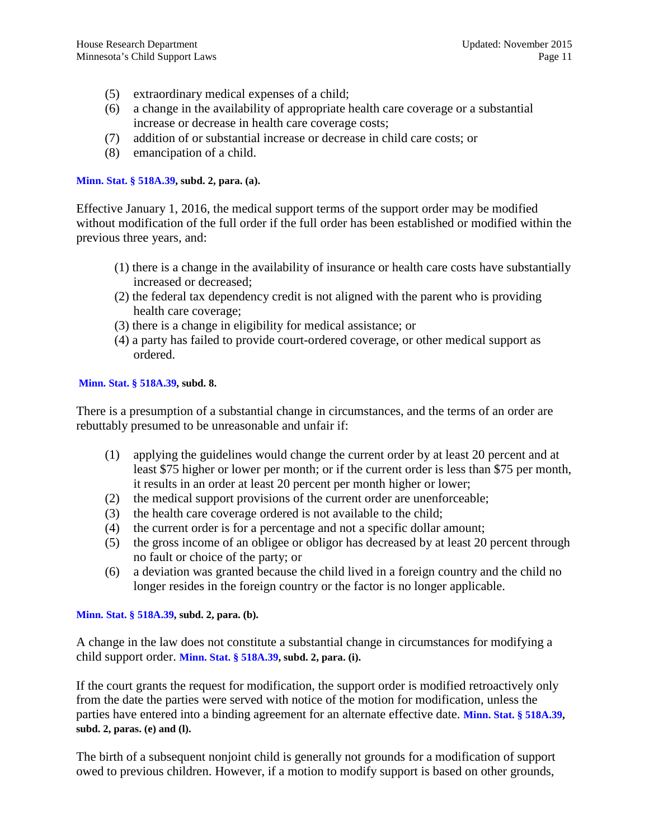- (5) extraordinary medical expenses of a child;
- (6) a change in the availability of appropriate health care coverage or a substantial increase or decrease in health care coverage costs;
- (7) addition of or substantial increase or decrease in child care costs; or
- (8) emancipation of a child.

#### **[Minn. Stat.](https://www.revisor.mn.gov/statutes/?id=518A.39) § 518A.39, subd. 2, para. (a).**

Effective January 1, 2016, the medical support terms of the support order may be modified without modification of the full order if the full order has been established or modified within the previous three years, and:

- (1) there is a change in the availability of insurance or health care costs have substantially increased or decreased;
- (2) the federal tax dependency credit is not aligned with the parent who is providing health care coverage;
- (3) there is a change in eligibility for medical assistance; or
- (4) a party has failed to provide court-ordered coverage, or other medical support as ordered.

#### **[Minn. Stat. § 518A.39,](https://www.revisor.mn.gov/statutes/?id=518A.39) subd. 8.**

There is a presumption of a substantial change in circumstances, and the terms of an order are rebuttably presumed to be unreasonable and unfair if:

- (1) applying the guidelines would change the current order by at least 20 percent and at least \$75 higher or lower per month; or if the current order is less than \$75 per month, it results in an order at least 20 percent per month higher or lower;
- (2) the medical support provisions of the current order are unenforceable;
- (3) the health care coverage ordered is not available to the child;
- (4) the current order is for a percentage and not a specific dollar amount;
- (5) the gross income of an obligee or obligor has decreased by at least 20 percent through no fault or choice of the party; or
- (6) a deviation was granted because the child lived in a foreign country and the child no longer resides in the foreign country or the factor is no longer applicable.

**[Minn. Stat. § 518A.39,](https://www.revisor.mn.gov/statutes/?id=518A.39) subd. 2, para. (b).** 

A change in the law does not constitute a substantial change in circumstances for modifying a child support order. **[Minn. Stat. § 518A.39,](https://www.revisor.mn.gov/statutes/?id=518A.39) subd. 2, para. (i).**

If the court grants the request for modification, the support order is modified retroactively only from the date the parties were served with notice of the motion for modification, unless the parties have entered into a binding agreement for an alternate effective date. **[Minn. Stat.](https://www.revisor.mn.gov/statutes/?id=518A.39) § 518A.39, subd. 2, paras. (e) and (l).**

The birth of a subsequent nonjoint child is generally not grounds for a modification of support owed to previous children. However, if a motion to modify support is based on other grounds,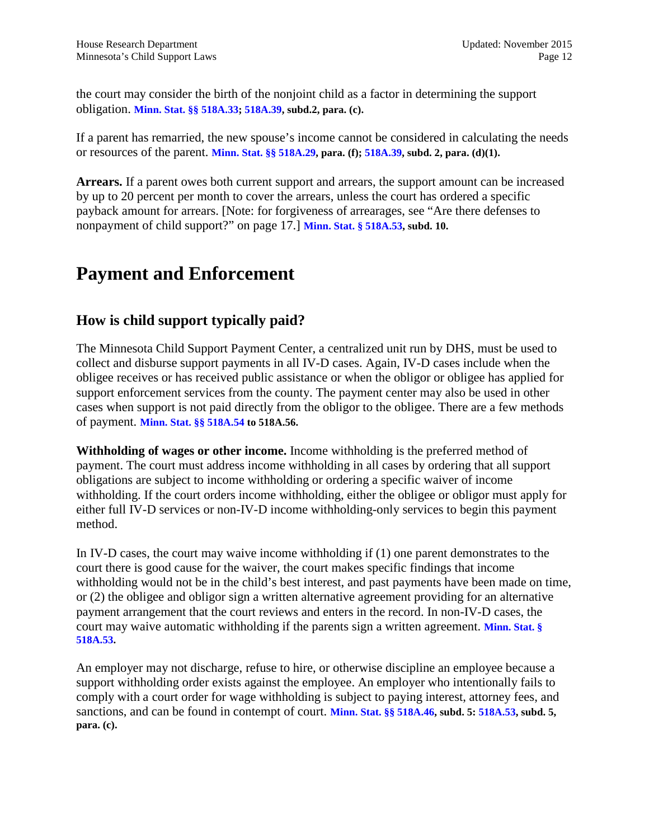the court may consider the birth of the nonjoint child as a factor in determining the support obligation. **[Minn. Stat. §§ 518A.33;](https://www.revisor.mn.gov/statutes/?id=518A.33) [518A.39,](https://www.revisor.mn.gov/statutes/?id=518A.39) subd.2, para. (c).**

If a parent has remarried, the new spouse's income cannot be considered in calculating the needs or resources of the parent. **[Minn. Stat.](https://www.revisor.mn.gov/statutes/?id=518A.29) §§ 518A.29, para. (f); [518A.39](https://www.revisor.mn.gov/statutes/?id=518A.39), subd. 2, para. (d)(1).**

**Arrears.** If a parent owes both current support and arrears, the support amount can be increased by up to 20 percent per month to cover the arrears, unless the court has ordered a specific payback amount for arrears. [Note: for forgiveness of arrearages, see "Are there defenses to nonpayment of child support?" on page [17.](#page-16-0)] **[Minn. Stat. §](https://www.revisor.mn.gov/statutes/?id=518A.53) 518A.53, subd. 10.**

## <span id="page-11-0"></span>**Payment and Enforcement**

### **How is child support typically paid?**

The Minnesota Child Support Payment Center, a centralized unit run by DHS, must be used to collect and disburse support payments in all IV-D cases. Again, IV-D cases include when the obligee receives or has received public assistance or when the obligor or obligee has applied for support enforcement services from the county. The payment center may also be used in other cases when support is not paid directly from the obligor to the obligee. There are a few methods of payment. **[Minn. Stat. §§ 518A.54](https://www.revisor.mn.gov/statutes/?id=518A.54) to 518A.56.**

**Withholding of wages or other income.** Income withholding is the preferred method of payment. The court must address income withholding in all cases by ordering that all support obligations are subject to income withholding or ordering a specific waiver of income withholding. If the court orders income withholding, either the obligee or obligor must apply for either full IV-D services or non-IV-D income withholding-only services to begin this payment method.

In IV-D cases, the court may waive income withholding if (1) one parent demonstrates to the court there is good cause for the waiver, the court makes specific findings that income withholding would not be in the child's best interest, and past payments have been made on time, or (2) the obligee and obligor sign a written alternative agreement providing for an alternative payment arrangement that the court reviews and enters in the record. In non-IV-D cases, the court may waive automatic withholding if the parents sign a written agreement. **Minn. [Stat. §](https://www.revisor.mn.gov/statutes/?id=518A.53) [518A.53](https://www.revisor.mn.gov/statutes/?id=518A.53).** 

An employer may not discharge, refuse to hire, or otherwise discipline an employee because a support withholding order exists against the employee. An employer who intentionally fails to comply with a court order for wage withholding is subject to paying interest, attorney fees, and sanctions, and can be found in contempt of court. **Minn. Stat. [§§ 518A.46,](https://www.revisor.mn.gov/statutes/?id=518A.46) subd. 5: [518A.53,](https://www.revisor.mn.gov/statutes/?id=518A.53) subd. 5, para. (c).**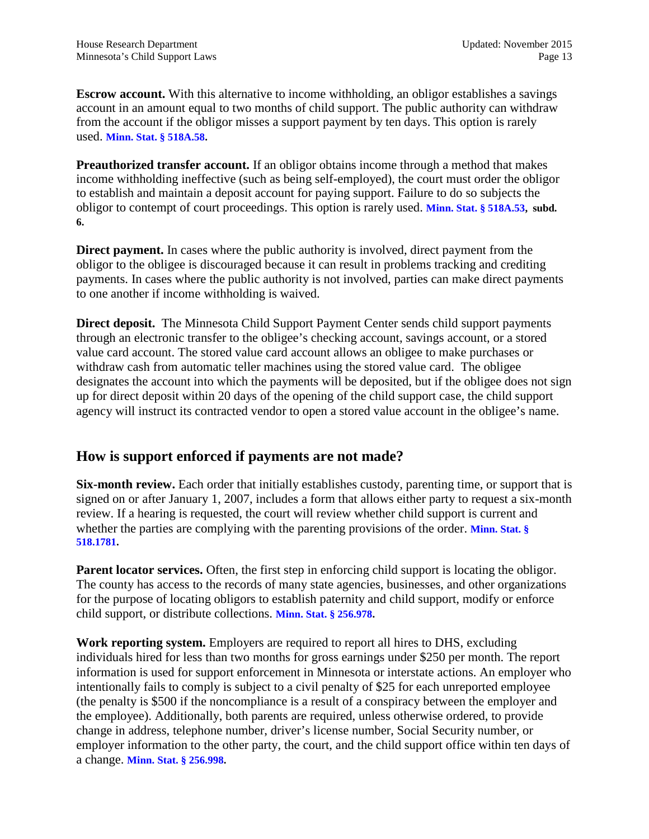**Escrow account.** With this alternative to income withholding, an obligor establishes a savings account in an amount equal to two months of child support. The public authority can withdraw from the account if the obligor misses a support payment by ten days. This option is rarely used. **[Minn. Stat.](https://www.revisor.mn.gov/statutes/?id=518A.58) § 518A.58.**

**Preauthorized transfer account.** If an obligor obtains income through a method that makes income withholding ineffective (such as being self-employed), the court must order the obligor to establish and maintain a deposit account for paying support. Failure to do so subjects the obligor to contempt of court proceedings. This option is rarely used. **[Minn. Stat. § 518A.53,](https://www.revisor.mn.gov/statutes/?id=518A.53) subd. 6.**

**Direct payment.** In cases where the public authority is involved, direct payment from the obligor to the obligee is discouraged because it can result in problems tracking and crediting payments. In cases where the public authority is not involved, parties can make direct payments to one another if income withholding is waived.

**Direct deposit.** The Minnesota Child Support Payment Center sends child support payments through an electronic transfer to the obligee's checking account, savings account, or a stored value card account. The stored value card account allows an obligee to make purchases or withdraw cash from automatic teller machines using the stored value card. The obligee designates the account into which the payments will be deposited, but if the obligee does not sign up for direct deposit within 20 days of the opening of the child support case, the child support agency will instruct its contracted vendor to open a stored value account in the obligee's name.

#### **How is support enforced if payments are not made?**

**Six-month review.** Each order that initially establishes custody, parenting time, or support that is signed on or after January 1, 2007, includes a form that allows either party to request a six-month review. If a hearing is requested, the court will review whether child support is current and whether the parties are complying with the parenting provisions of the order. **[Minn. Stat. §](https://www.revisor.mn.gov/statutes/?id=518.1781) [518.1781.](https://www.revisor.mn.gov/statutes/?id=518.1781)** 

**Parent locator services.** Often, the first step in enforcing child support is locating the obligor. The county has access to the records of many state agencies, businesses, and other organizations for the purpose of locating obligors to establish paternity and child support, modify or enforce child support, or distribute collections. **[Minn. Stat. § 256.978.](https://www.revisor.mn.gov/statutes/?id=256.978)**

**Work reporting system.** Employers are required to report all hires to DHS, excluding individuals hired for less than two months for gross earnings under \$250 per month. The report information is used for support enforcement in Minnesota or interstate actions. An employer who intentionally fails to comply is subject to a civil penalty of \$25 for each unreported employee (the penalty is \$500 if the noncompliance is a result of a conspiracy between the employer and the employee). Additionally, both parents are required, unless otherwise ordered, to provide change in address, telephone number, driver's license number, Social Security number, or employer information to the other party, the court, and the child support office within ten days of a change. **[Minn. Stat. § 256.998](https://www.revisor.mn.gov/statutes/?id=256.998).**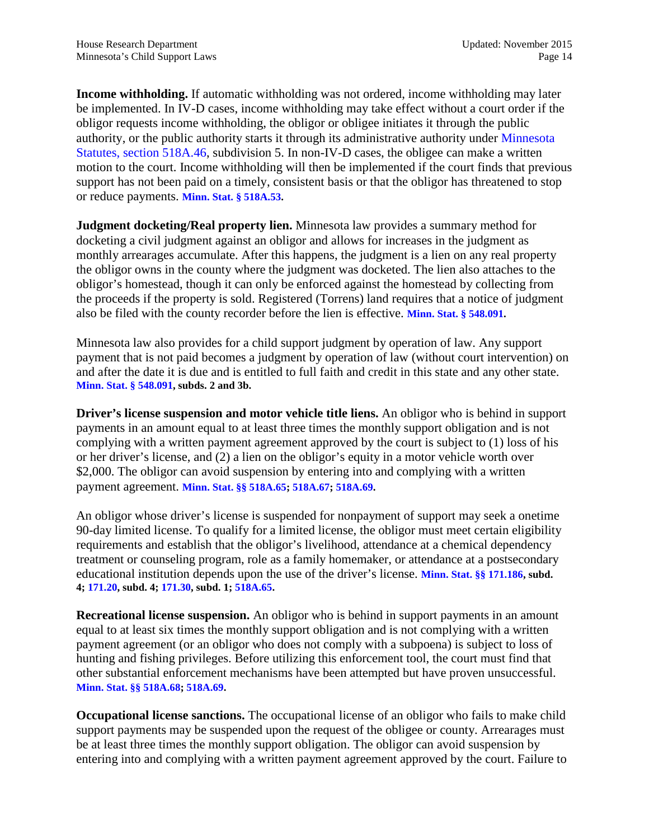**Income withholding.** If automatic withholding was not ordered, income withholding may later be implemented. In IV-D cases, income withholding may take effect without a court order if the obligor requests income withholding, the obligor or obligee initiates it through the public authority, or the public authority starts it through its administrative authority under [Minnesota](https://www.revisor.mn.gov/statutes/?id=518A.46)  [Statutes, section 518A.46,](https://www.revisor.mn.gov/statutes/?id=518A.46) subdivision 5. In non-IV-D cases, the obligee can make a written motion to the court. Income withholding will then be implemented if the court finds that previous support has not been paid on a timely, consistent basis or that the obligor has threatened to stop or reduce payments. **[Minn. Stat. §](https://www.revisor.mn.gov/statutes/?id=518A.53) 518A.53.**

**Judgment docketing/Real property lien.** Minnesota law provides a summary method for docketing a civil judgment against an obligor and allows for increases in the judgment as monthly arrearages accumulate. After this happens, the judgment is a lien on any real property the obligor owns in the county where the judgment was docketed. The lien also attaches to the obligor's homestead, though it can only be enforced against the homestead by collecting from the proceeds if the property is sold. Registered (Torrens) land requires that a notice of judgment also be filed with the county recorder before the lien is effective. **[Minn. Stat.](https://www.revisor.mn.gov/statutes/?id=548.091) § 548.091.**

Minnesota law also provides for a child support judgment by operation of law. Any support payment that is not paid becomes a judgment by operation of law (without court intervention) on and after the date it is due and is entitled to full faith and credit in this state and any other state. **[Minn. Stat.](https://www.revisor.mn.gov/statutes/?id=548.091) § 548.091, subds. 2 and 3b.** 

**Driver's license suspension and motor vehicle title liens.** An obligor who is behind in support payments in an amount equal to at least three times the monthly support obligation and is not complying with a written payment agreement approved by the court is subject to (1) loss of his or her driver's license, and (2) a lien on the obligor's equity in a motor vehicle worth over \$2,000. The obligor can avoid suspension by entering into and complying with a written payment agreement. **Minn. Stat. [§§ 518A.65;](https://www.revisor.mn.gov/statutes/?id=518A.65) [518A.67](https://www.revisor.mn.gov/statutes/?id=518A.67); [518A.69.](https://www.revisor.mn.gov/statutes/?id=518A.69)** 

An obligor whose driver's license is suspended for nonpayment of support may seek a onetime 90-day limited license. To qualify for a limited license, the obligor must meet certain eligibility requirements and establish that the obligor's livelihood, attendance at a chemical dependency treatment or counseling program, role as a family homemaker, or attendance at a postsecondary educational institution depends upon the use of the driver's license. **[Minn. Stat. §§ 171.186,](https://www.revisor.mn.gov/statutes/?id=171.186) subd. 4; [171.20,](https://www.revisor.mn.gov/statutes/?id=171.20) subd. 4; [171.30,](https://www.revisor.mn.gov/statutes/?id=171.30) subd. 1; [518A.65.](https://www.revisor.mn.gov/statutes/?id=518A.65)** 

**Recreational license suspension.** An obligor who is behind in support payments in an amount equal to at least six times the monthly support obligation and is not complying with a written payment agreement (or an obligor who does not comply with a subpoena) is subject to loss of hunting and fishing privileges. Before utilizing this enforcement tool, the court must find that other substantial enforcement mechanisms have been attempted but have proven unsuccessful. **[Minn. Stat.](https://www.revisor.mn.gov/statutes/?id=518A.68) §§ 518A.68; [518A.69](https://www.revisor.mn.gov/statutes/?id=518A.69).**

**Occupational license sanctions.** The occupational license of an obligor who fails to make child support payments may be suspended upon the request of the obligee or county. Arrearages must be at least three times the monthly support obligation. The obligor can avoid suspension by entering into and complying with a written payment agreement approved by the court. Failure to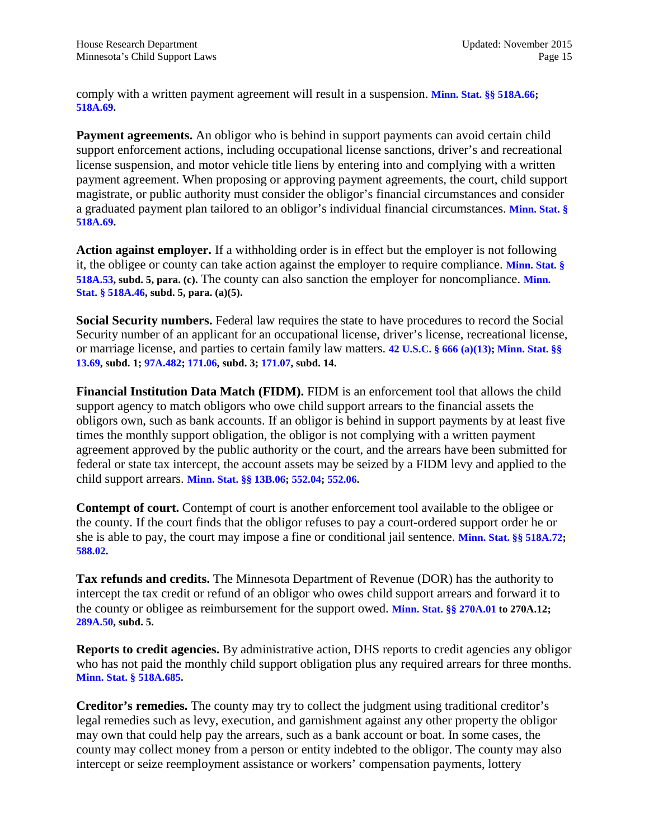comply with a written payment agreement will result in a suspension. **[Minn. Stat. §§](https://www.revisor.mn.gov/statutes/?id=518A.66) 518A.66; [518A.69.](https://www.revisor.mn.gov/statutes/?id=518A.69)**

**Payment agreements.** An obligor who is behind in support payments can avoid certain child support enforcement actions, including occupational license sanctions, driver's and recreational license suspension, and motor vehicle title liens by entering into and complying with a written payment agreement. When proposing or approving payment agreements, the court, child support magistrate, or public authority must consider the obligor's financial circumstances and consider a graduated payment plan tailored to an obligor's individual financial circumstances. **[Minn. Stat. §](https://www.revisor.mn.gov/statutes/?id=518A.69) [518A.69](https://www.revisor.mn.gov/statutes/?id=518A.69).** 

**Action against employer.** If a withholding order is in effect but the employer is not following it, the obligee or county can take action against the employer to require compliance. **[Minn. Stat. §](https://www.revisor.mn.gov/statutes/?id=518A.53)  [518A.53,](https://www.revisor.mn.gov/statutes/?id=518A.53) subd. 5, para. (c).** The county can also sanction the employer for noncompliance. **[Minn.](https://www.revisor.mn.gov/statutes/?id=518A.46)  Stat. § [518A.46,](https://www.revisor.mn.gov/statutes/?id=518A.46) subd. 5, para. (a)(5).** 

**Social Security numbers.** Federal law requires the state to have procedures to record the Social Security number of an applicant for an occupational license, driver's license, recreational license, or marriage license, and parties to certain family law matters. **[42 U.S.C. § 666 \(a\)\(13\)](https://www.law.cornell.edu/uscode/text/42/666); [Minn. Stat. §§](https://www.revisor.mn.gov/statutes/?id=13.69) [13.69,](https://www.revisor.mn.gov/statutes/?id=13.69) subd. 1; [97A.482;](https://www.revisor.mn.gov/statutes/?id=97A.482) [171.06,](https://www.revisor.mn.gov/statutes/?id=171.06) subd. 3; [171.07,](https://www.revisor.mn.gov/statutes/?id=171.07) subd. 14.**

**Financial Institution Data Match (FIDM).** FIDM is an enforcement tool that allows the child support agency to match obligors who owe child support arrears to the financial assets the obligors own, such as bank accounts. If an obligor is behind in support payments by at least five times the monthly support obligation, the obligor is not complying with a written payment agreement approved by the public authority or the court, and the arrears have been submitted for federal or state tax intercept, the account assets may be seized by a FIDM levy and applied to the child support arrears. **[Minn. Stat. §§ 13B.06;](https://www.revisor.mn.gov/statutes/?id=13B.06) [552.04](https://www.revisor.mn.gov/statutes/?id=552.04); [552.06.](https://www.revisor.mn.gov/statutes/?id=552.06)** 

**Contempt of court.** Contempt of court is another enforcement tool available to the obligee or the county. If the court finds that the obligor refuses to pay a court-ordered support order he or she is able to pay, the court may impose a fine or conditional jail sentence. **Minn. Stat. [§§ 518A.72;](https://www.revisor.mn.gov/statutes/?id=518A.72) [588.02.](https://www.revisor.mn.gov/statutes/?id=588.02)**

**Tax refunds and credits.** The Minnesota Department of Revenue (DOR) has the authority to intercept the tax credit or refund of an obligor who owes child support arrears and forward it to the county or obligee as reimbursement for the support owed. **[Minn. Stat. §§ 270A.01](https://www.revisor.mn.gov/statutes/?id=270A.01) to 270A.12; [289A.50,](https://www.revisor.mn.gov/statutes/?id=289A.50) subd. 5.** 

**Reports to credit agencies.** By administrative action, DHS reports to credit agencies any obligor who has not paid the monthly child support obligation plus any required arrears for three months. **[Minn. Stat. § 518A.685.](https://www.revisor.mn.gov/statutes/?id=518A.685)** 

**Creditor's remedies.** The county may try to collect the judgment using traditional creditor's legal remedies such as levy, execution, and garnishment against any other property the obligor may own that could help pay the arrears, such as a bank account or boat. In some cases, the county may collect money from a person or entity indebted to the obligor. The county may also intercept or seize reemployment assistance or workers' compensation payments, lottery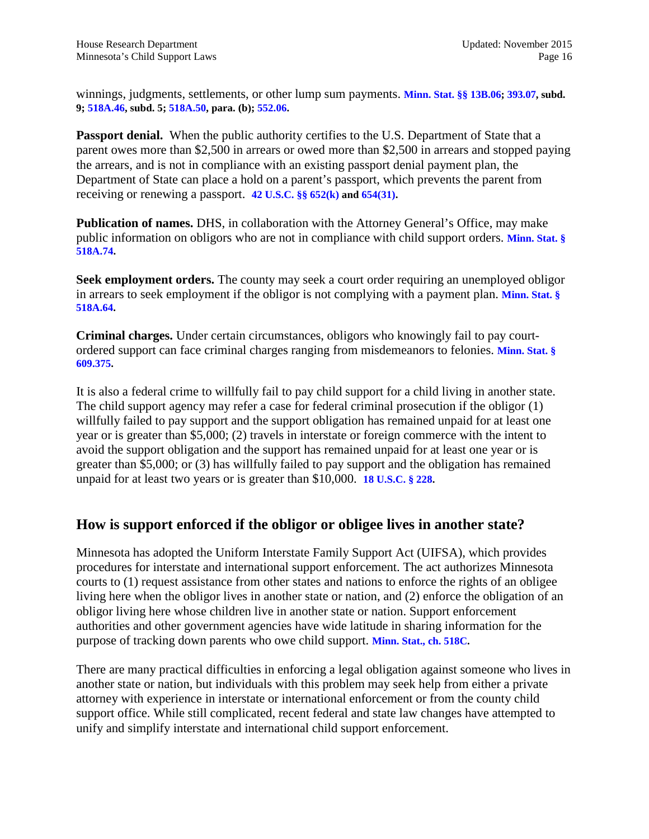winnings, judgments, settlements, or other lump sum payments. **[Minn. Stat. §§ 13B.06;](https://www.revisor.mn.gov/statutes/?id=13B.06) [393.07,](https://www.revisor.mn.gov/statutes/?id=393.07) subd. 9; [518A.46,](https://www.revisor.mn.gov/statutes/?id=518A.46) subd. 5; [518A.50,](https://www.revisor.mn.gov/statutes/?id=518A.50) para. (b); [552.06.](https://www.revisor.mn.gov/statutes/?id=552.06)**

**Passport denial.** When the public authority certifies to the U.S. Department of State that a parent owes more than \$2,500 in arrears or owed more than \$2,500 in arrears and stopped paying the arrears, and is not in compliance with an existing passport denial payment plan, the Department of State can place a hold on a parent's passport, which prevents the parent from receiving or renewing a passport. **[42 U.S.C. §§ 652\(k\)](https://www.law.cornell.edu/uscode/text/42/652) and [654\(31\).](https://www.law.cornell.edu/uscode/text/42/654)**

**Publication of names.** DHS, in collaboration with the Attorney General's Office, may make public information on obligors who are not in compliance with child support orders. **[Minn. Stat. §](https://www.revisor.mn.gov/statutes/?id=518A.74)  [518A.74.](https://www.revisor.mn.gov/statutes/?id=518A.74)** 

**Seek employment orders.** The county may seek a court order requiring an unemployed obligor in arrears to seek employment if the obligor is not complying with a payment plan. **[Minn. Stat. §](https://www.revisor.mn.gov/statutes/?id=518A.64)  [518A.64.](https://www.revisor.mn.gov/statutes/?id=518A.64)** 

**Criminal charges.** Under certain circumstances, obligors who knowingly fail to pay courtordered support can face criminal charges ranging from misdemeanors to felonies. **[Minn. Stat. §](https://www.revisor.mn.gov/statutes/?id=609.375) [609.375.](https://www.revisor.mn.gov/statutes/?id=609.375)**

It is also a federal crime to willfully fail to pay child support for a child living in another state. The child support agency may refer a case for federal criminal prosecution if the obligor (1) willfully failed to pay support and the support obligation has remained unpaid for at least one year or is greater than \$5,000; (2) travels in interstate or foreign commerce with the intent to avoid the support obligation and the support has remained unpaid for at least one year or is greater than \$5,000; or (3) has willfully failed to pay support and the obligation has remained unpaid for at least two years or is greater than \$10,000. **[18 U.S.C. § 228.](https://www.law.cornell.edu/uscode/text/18/228)**

#### **How is support enforced if the obligor or obligee lives in another state?**

Minnesota has adopted the Uniform Interstate Family Support Act (UIFSA), which provides procedures for interstate and international support enforcement. The act authorizes Minnesota courts to (1) request assistance from other states and nations to enforce the rights of an obligee living here when the obligor lives in another state or nation, and (2) enforce the obligation of an obligor living here whose children live in another state or nation. Support enforcement authorities and other government agencies have wide latitude in sharing information for the purpose of tracking down parents who owe child support. **[Minn. Stat., ch. 518C.](https://www.revisor.mn.gov/statutes/?id=518C)**

There are many practical difficulties in enforcing a legal obligation against someone who lives in another state or nation, but individuals with this problem may seek help from either a private attorney with experience in interstate or international enforcement or from the county child support office. While still complicated, recent federal and state law changes have attempted to unify and simplify interstate and international child support enforcement.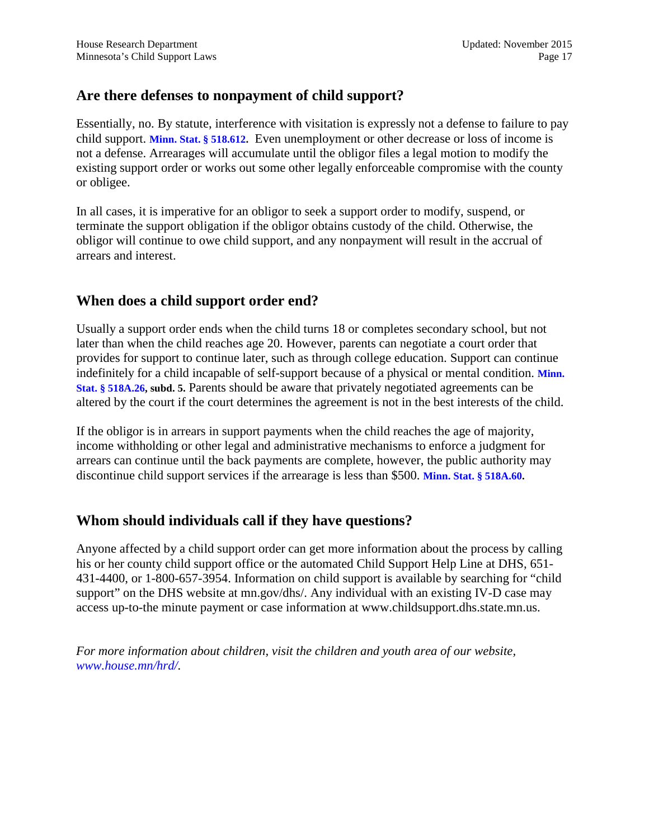#### <span id="page-16-0"></span>**Are there defenses to nonpayment of child support?**

Essentially, no. By statute, interference with visitation is expressly not a defense to failure to pay child support. **[Minn. Stat.](https://www.revisor.mn.gov/statutes/?id=518.612) § 518.612.** Even unemployment or other decrease or loss of income is not a defense. Arrearages will accumulate until the obligor files a legal motion to modify the existing support order or works out some other legally enforceable compromise with the county or obligee.

In all cases, it is imperative for an obligor to seek a support order to modify, suspend, or terminate the support obligation if the obligor obtains custody of the child. Otherwise, the obligor will continue to owe child support, and any nonpayment will result in the accrual of arrears and interest.

#### **When does a child support order end?**

Usually a support order ends when the child turns 18 or completes secondary school, but not later than when the child reaches age 20. However, parents can negotiate a court order that provides for support to continue later, such as through college education. Support can continue indefinitely for a child incapable of self-support because of a physical or mental condition. **[Minn.](https://www.revisor.mn.gov/statutes/?id=518A.26)  Stat. § [518A.26](https://www.revisor.mn.gov/statutes/?id=518A.26), subd. 5.** Parents should be aware that privately negotiated agreements can be altered by the court if the court determines the agreement is not in the best interests of the child.

If the obligor is in arrears in support payments when the child reaches the age of majority, income withholding or other legal and administrative mechanisms to enforce a judgment for arrears can continue until the back payments are complete, however, the public authority may discontinue child support services if the arrearage is less than \$500. **[Minn. Stat. § 518A.60.](https://www.revisor.mn.gov/statutes/?id=518A.60)**

#### **Whom should individuals call if they have questions?**

Anyone affected by a child support order can get more information about the process by calling his or her county child support office or the automated Child Support Help Line at DHS, 651- 431-4400, or 1-800-657-3954. Information on child support is available by searching for "child support" on the DHS website at mn.gov/dhs/. Any individual with an existing IV-D case may access up-to-the minute payment or case information at www.childsupport.dhs.state.mn.us.

*For more information about children, visit the children and youth area of our website, [www.house.mn/hrd/.](http://www.house.mn/hrd/)*